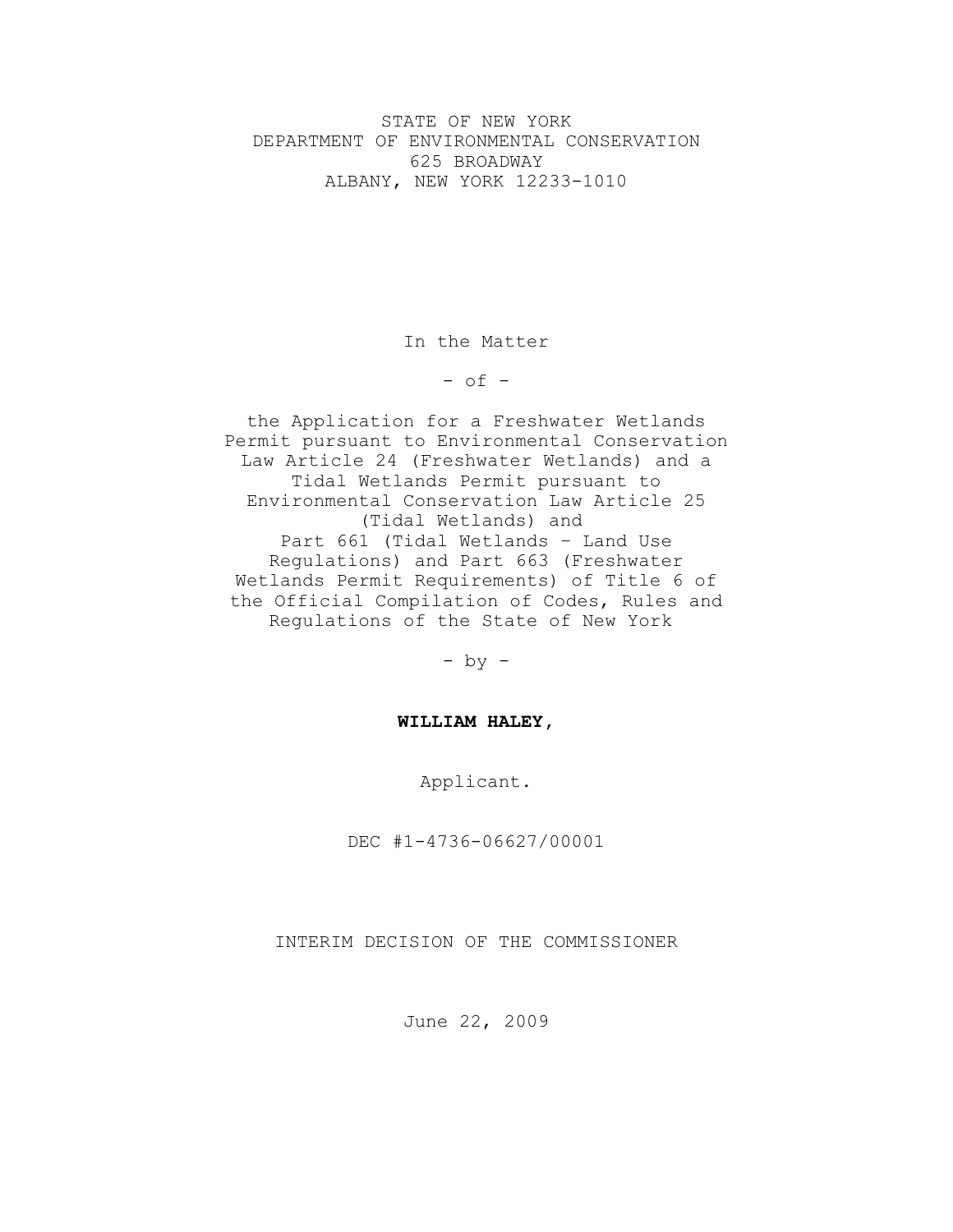STATE OF NEW YORK DEPARTMENT OF ENVIRONMENTAL CONSERVATION 625 BROADWAY ALBANY, NEW YORK 12233-1010

In the Matter

 $-$  of  $-$ 

the Application for a Freshwater Wetlands Permit pursuant to Environmental Conservation Law Article 24 (Freshwater Wetlands) and a Tidal Wetlands Permit pursuant to Environmental Conservation Law Article 25 (Tidal Wetlands) and Part 661 (Tidal Wetlands – Land Use Regulations) and Part 663 (Freshwater Wetlands Permit Requirements) of Title 6 of the Official Compilation of Codes, Rules and Regulations of the State of New York

- by -

# **WILLIAM HALEY,**

Applicant.

DEC #1-4736-06627/00001

INTERIM DECISION OF THE COMMISSIONER

June 22, 2009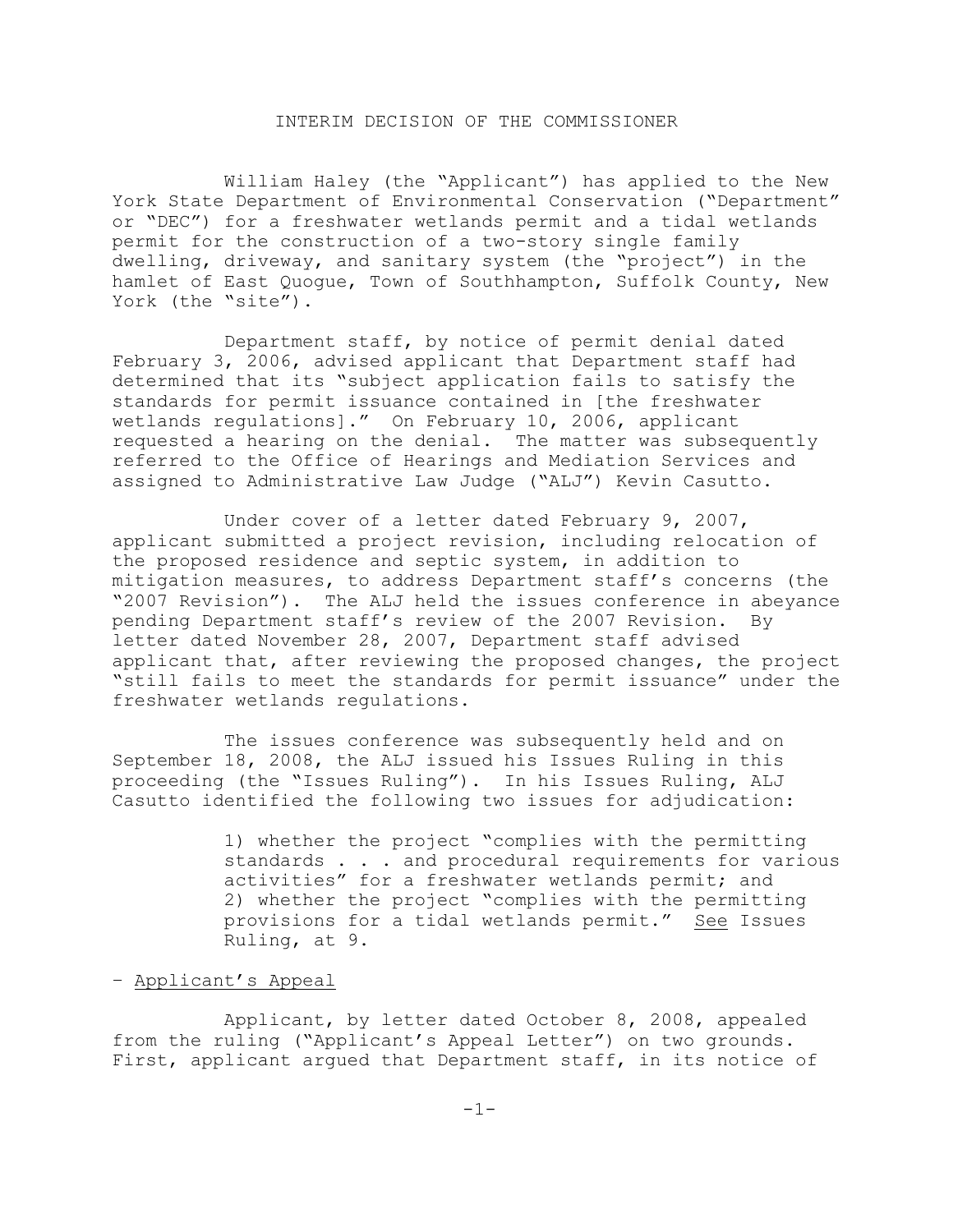## INTERIM DECISION OF THE COMMISSIONER

William Haley (the "Applicant") has applied to the New York State Department of Environmental Conservation ("Department" or "DEC") for a freshwater wetlands permit and a tidal wetlands permit for the construction of a two-story single family dwelling, driveway, and sanitary system (the "project") in the hamlet of East Quogue, Town of Southhampton, Suffolk County, New York (the "site").

Department staff, by notice of permit denial dated February 3, 2006, advised applicant that Department staff had determined that its "subject application fails to satisfy the standards for permit issuance contained in [the freshwater wetlands regulations]." On February 10, 2006, applicant requested a hearing on the denial. The matter was subsequently referred to the Office of Hearings and Mediation Services and assigned to Administrative Law Judge ("ALJ") Kevin Casutto.

Under cover of a letter dated February 9, 2007, applicant submitted a project revision, including relocation of the proposed residence and septic system, in addition to mitigation measures, to address Department staff's concerns (the "2007 Revision"). The ALJ held the issues conference in abeyance pending Department staff's review of the 2007 Revision. By letter dated November 28, 2007, Department staff advised applicant that, after reviewing the proposed changes, the project "still fails to meet the standards for permit issuance" under the freshwater wetlands regulations.

The issues conference was subsequently held and on September 18, 2008, the ALJ issued his Issues Ruling in this proceeding (the "Issues Ruling"). In his Issues Ruling, ALJ Casutto identified the following two issues for adjudication:

> 1) whether the project "complies with the permitting standards . . . and procedural requirements for various activities" for a freshwater wetlands permit; and 2) whether the project "complies with the permitting provisions for a tidal wetlands permit." See Issues Ruling, at 9.

#### – Applicant's Appeal

Applicant, by letter dated October 8, 2008, appealed from the ruling ("Applicant's Appeal Letter") on two grounds. First, applicant argued that Department staff, in its notice of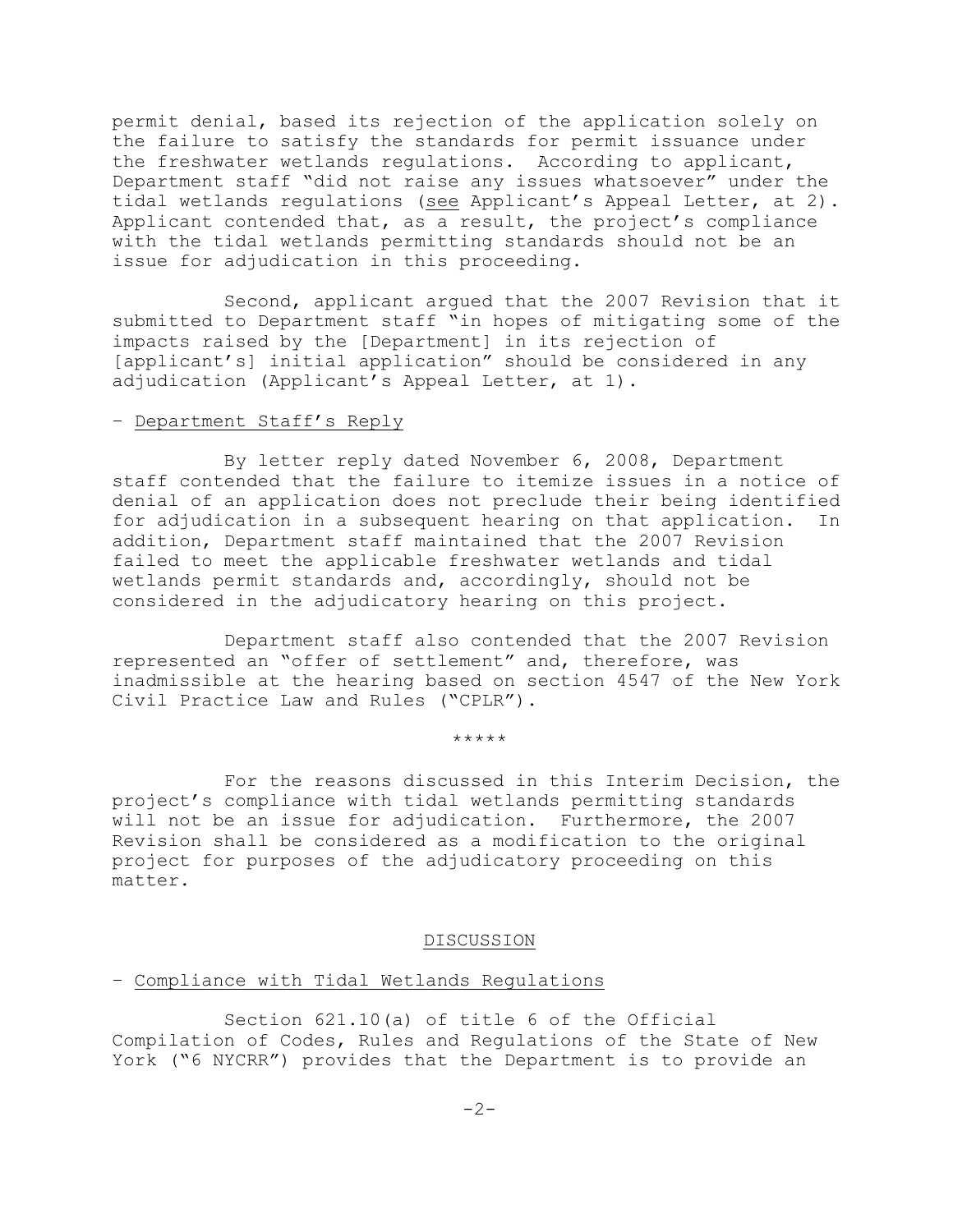permit denial, based its rejection of the application solely on the failure to satisfy the standards for permit issuance under the freshwater wetlands regulations. According to applicant, Department staff "did not raise any issues whatsoever" under the tidal wetlands regulations (see Applicant's Appeal Letter, at 2). Applicant contended that, as a result, the project's compliance with the tidal wetlands permitting standards should not be an issue for adjudication in this proceeding.

Second, applicant argued that the 2007 Revision that it submitted to Department staff "in hopes of mitigating some of the impacts raised by the [Department] in its rejection of [applicant's] initial application" should be considered in any adjudication (Applicant's Appeal Letter, at 1).

### – Department Staff's Reply

By letter reply dated November 6, 2008, Department staff contended that the failure to itemize issues in a notice of denial of an application does not preclude their being identified for adjudication in a subsequent hearing on that application. In addition, Department staff maintained that the 2007 Revision failed to meet the applicable freshwater wetlands and tidal wetlands permit standards and, accordingly, should not be considered in the adjudicatory hearing on this project.

Department staff also contended that the 2007 Revision represented an "offer of settlement" and, therefore, was inadmissible at the hearing based on section 4547 of the New York Civil Practice Law and Rules ("CPLR").

\*\*\*\*\*

For the reasons discussed in this Interim Decision, the project's compliance with tidal wetlands permitting standards will not be an issue for adjudication. Furthermore, the 2007 Revision shall be considered as a modification to the original project for purposes of the adjudicatory proceeding on this matter.

#### DISCUSSION

## – Compliance with Tidal Wetlands Regulations

Section 621.10(a) of title 6 of the Official Compilation of Codes, Rules and Regulations of the State of New York ("6 NYCRR") provides that the Department is to provide an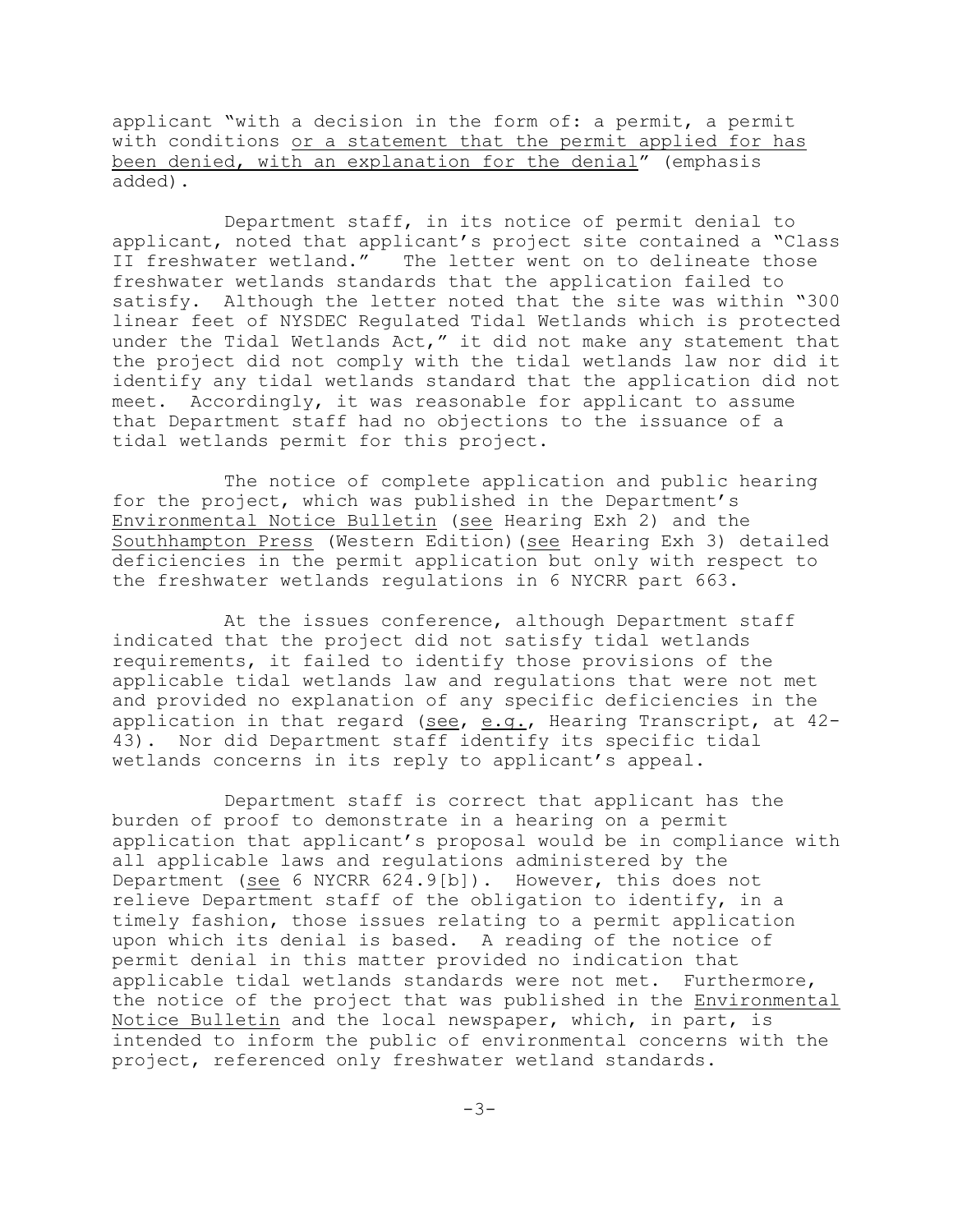applicant "with a decision in the form of: a permit, a permit with conditions or a statement that the permit applied for has been denied, with an explanation for the denial" (emphasis added).

Department staff, in its notice of permit denial to applicant, noted that applicant's project site contained a "Class II freshwater wetland." The letter went on to delineate those freshwater wetlands standards that the application failed to satisfy. Although the letter noted that the site was within "300 linear feet of NYSDEC Regulated Tidal Wetlands which is protected under the Tidal Wetlands Act," it did not make any statement that the project did not comply with the tidal wetlands law nor did it identify any tidal wetlands standard that the application did not meet. Accordingly, it was reasonable for applicant to assume that Department staff had no objections to the issuance of a tidal wetlands permit for this project.

The notice of complete application and public hearing for the project, which was published in the Department's Environmental Notice Bulletin (see Hearing Exh 2) and the Southhampton Press (Western Edition)(see Hearing Exh 3) detailed deficiencies in the permit application but only with respect to the freshwater wetlands regulations in 6 NYCRR part 663.

At the issues conference, although Department staff indicated that the project did not satisfy tidal wetlands requirements, it failed to identify those provisions of the applicable tidal wetlands law and regulations that were not met and provided no explanation of any specific deficiencies in the application in that regard (see, e.g., Hearing Transcript, at 42- 43). Nor did Department staff identify its specific tidal wetlands concerns in its reply to applicant's appeal.

Department staff is correct that applicant has the burden of proof to demonstrate in a hearing on a permit application that applicant's proposal would be in compliance with all applicable laws and regulations administered by the Department (see 6 NYCRR 624.9[b]). However, this does not relieve Department staff of the obligation to identify, in a timely fashion, those issues relating to a permit application upon which its denial is based. A reading of the notice of permit denial in this matter provided no indication that applicable tidal wetlands standards were not met. Furthermore, the notice of the project that was published in the Environmental Notice Bulletin and the local newspaper, which, in part, is intended to inform the public of environmental concerns with the project, referenced only freshwater wetland standards.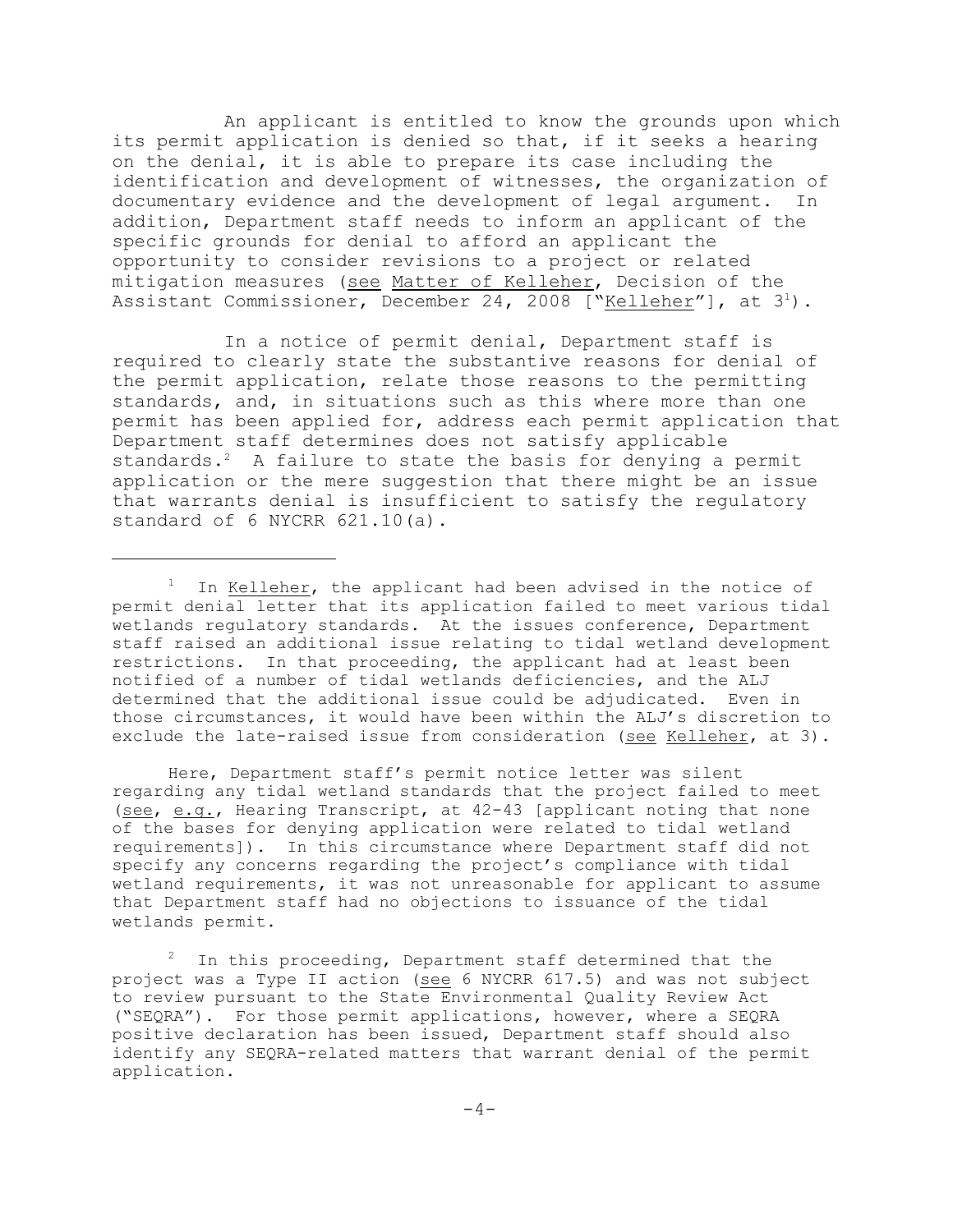An applicant is entitled to know the grounds upon which its permit application is denied so that, if it seeks a hearing on the denial, it is able to prepare its case including the identification and development of witnesses, the organization of documentary evidence and the development of legal argument. In addition, Department staff needs to inform an applicant of the specific grounds for denial to afford an applicant the opportunity to consider revisions to a project or related mitigation measures (see Matter of Kelleher, Decision of the Assistant Commissioner, December 24, 2008 ["Kelleher"], at  $3^1$ ).

In a notice of permit denial, Department staff is required to clearly state the substantive reasons for denial of the permit application, relate those reasons to the permitting standards, and, in situations such as this where more than one permit has been applied for, address each permit application that Department staff determines does not satisfy applicable standards. $2$  A failure to state the basis for denying a permit application or the mere suggestion that there might be an issue that warrants denial is insufficient to satisfy the regulatory standard of 6 NYCRR 621.10(a).

Here, Department staff's permit notice letter was silent regarding any tidal wetland standards that the project failed to meet (see, e.g., Hearing Transcript, at 42-43 [applicant noting that none of the bases for denying application were related to tidal wetland requirements]). In this circumstance where Department staff did not specify any concerns regarding the project's compliance with tidal wetland requirements, it was not unreasonable for applicant to assume that Department staff had no objections to issuance of the tidal wetlands permit.

In this proceeding, Department staff determined that the project was a Type II action (see 6 NYCRR 617.5) and was not subject to review pursuant to the State Environmental Quality Review Act ("SEQRA"). For those permit applications, however, where a SEQRA positive declaration has been issued, Department staff should also identify any SEQRA-related matters that warrant denial of the permit application.

 $1$  In Kelleher, the applicant had been advised in the notice of permit denial letter that its application failed to meet various tidal wetlands regulatory standards. At the issues conference, Department staff raised an additional issue relating to tidal wetland development restrictions. In that proceeding, the applicant had at least been notified of a number of tidal wetlands deficiencies, and the ALJ determined that the additional issue could be adjudicated. Even in those circumstances, it would have been within the ALJ's discretion to exclude the late-raised issue from consideration (see Kelleher, at 3).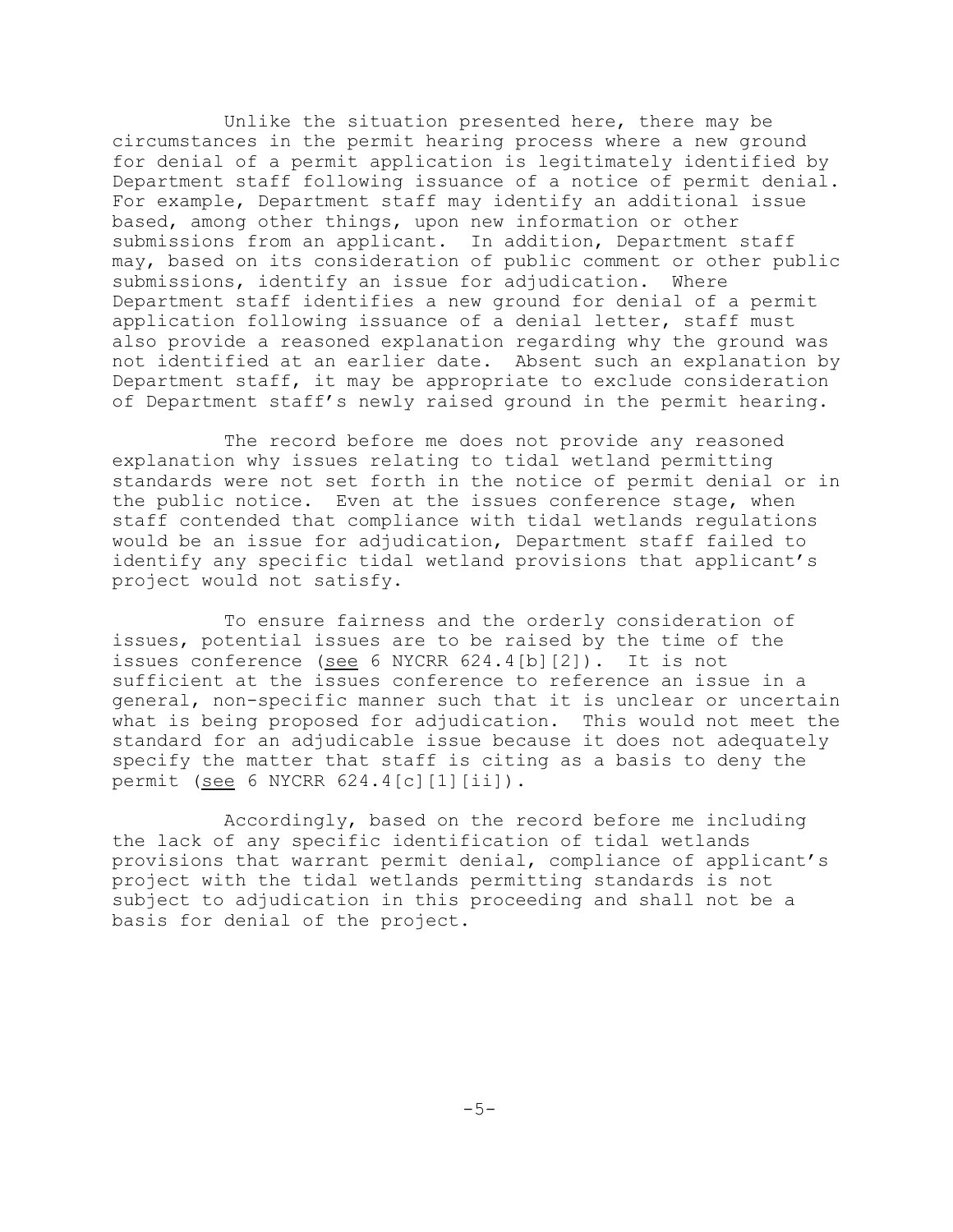Unlike the situation presented here, there may be circumstances in the permit hearing process where a new ground for denial of a permit application is legitimately identified by Department staff following issuance of a notice of permit denial. For example, Department staff may identify an additional issue based, among other things, upon new information or other submissions from an applicant. In addition, Department staff may, based on its consideration of public comment or other public submissions, identify an issue for adjudication. Where Department staff identifies a new ground for denial of a permit application following issuance of a denial letter, staff must also provide a reasoned explanation regarding why the ground was not identified at an earlier date. Absent such an explanation by Department staff, it may be appropriate to exclude consideration of Department staff's newly raised ground in the permit hearing.

The record before me does not provide any reasoned explanation why issues relating to tidal wetland permitting standards were not set forth in the notice of permit denial or in the public notice. Even at the issues conference stage, when staff contended that compliance with tidal wetlands regulations would be an issue for adjudication, Department staff failed to identify any specific tidal wetland provisions that applicant's project would not satisfy.

To ensure fairness and the orderly consideration of issues, potential issues are to be raised by the time of the issues conference (see 6 NYCRR 624.4[b][2]). It is not sufficient at the issues conference to reference an issue in a general, non-specific manner such that it is unclear or uncertain what is being proposed for adjudication. This would not meet the standard for an adjudicable issue because it does not adequately specify the matter that staff is citing as a basis to deny the permit (see 6 NYCRR 624.4[c][1][ii]).

Accordingly, based on the record before me including the lack of any specific identification of tidal wetlands provisions that warrant permit denial, compliance of applicant's project with the tidal wetlands permitting standards is not subject to adjudication in this proceeding and shall not be a basis for denial of the project.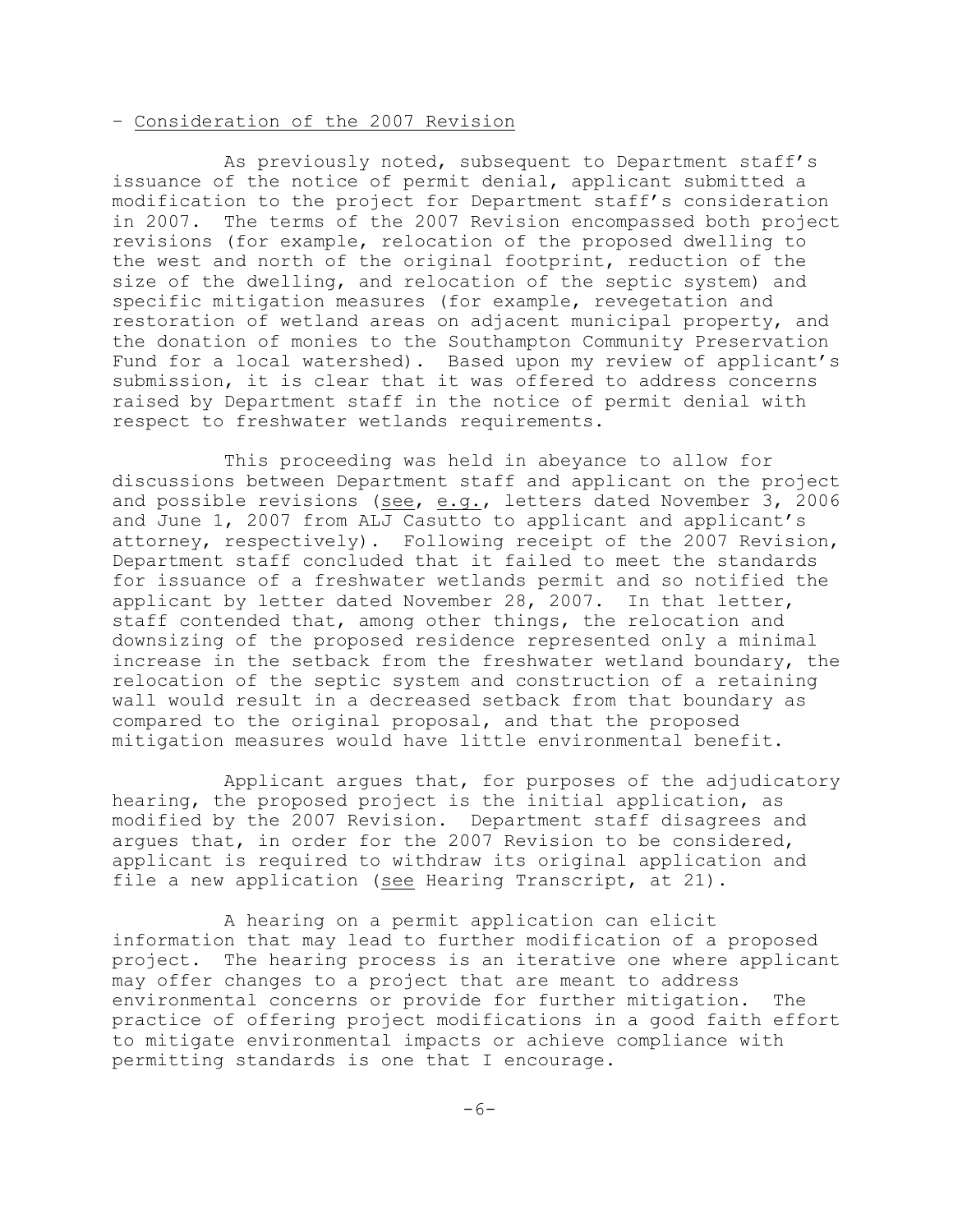### – Consideration of the 2007 Revision

As previously noted, subsequent to Department staff's issuance of the notice of permit denial, applicant submitted a modification to the project for Department staff's consideration in 2007. The terms of the 2007 Revision encompassed both project revisions (for example, relocation of the proposed dwelling to the west and north of the original footprint, reduction of the size of the dwelling, and relocation of the septic system) and specific mitigation measures (for example, revegetation and restoration of wetland areas on adjacent municipal property, and the donation of monies to the Southampton Community Preservation Fund for a local watershed). Based upon my review of applicant's submission, it is clear that it was offered to address concerns raised by Department staff in the notice of permit denial with respect to freshwater wetlands requirements.

This proceeding was held in abeyance to allow for discussions between Department staff and applicant on the project and possible revisions (see, e.g., letters dated November 3, 2006 and June 1, 2007 from ALJ Casutto to applicant and applicant's attorney, respectively). Following receipt of the 2007 Revision, Department staff concluded that it failed to meet the standards for issuance of a freshwater wetlands permit and so notified the applicant by letter dated November 28, 2007. In that letter, staff contended that, among other things, the relocation and downsizing of the proposed residence represented only a minimal increase in the setback from the freshwater wetland boundary, the relocation of the septic system and construction of a retaining wall would result in a decreased setback from that boundary as compared to the original proposal, and that the proposed mitigation measures would have little environmental benefit.

Applicant argues that, for purposes of the adjudicatory hearing, the proposed project is the initial application, as modified by the 2007 Revision. Department staff disagrees and argues that, in order for the 2007 Revision to be considered, applicant is required to withdraw its original application and file a new application (see Hearing Transcript, at 21).

A hearing on a permit application can elicit information that may lead to further modification of a proposed project. The hearing process is an iterative one where applicant may offer changes to a project that are meant to address environmental concerns or provide for further mitigation. The practice of offering project modifications in a good faith effort to mitigate environmental impacts or achieve compliance with permitting standards is one that I encourage.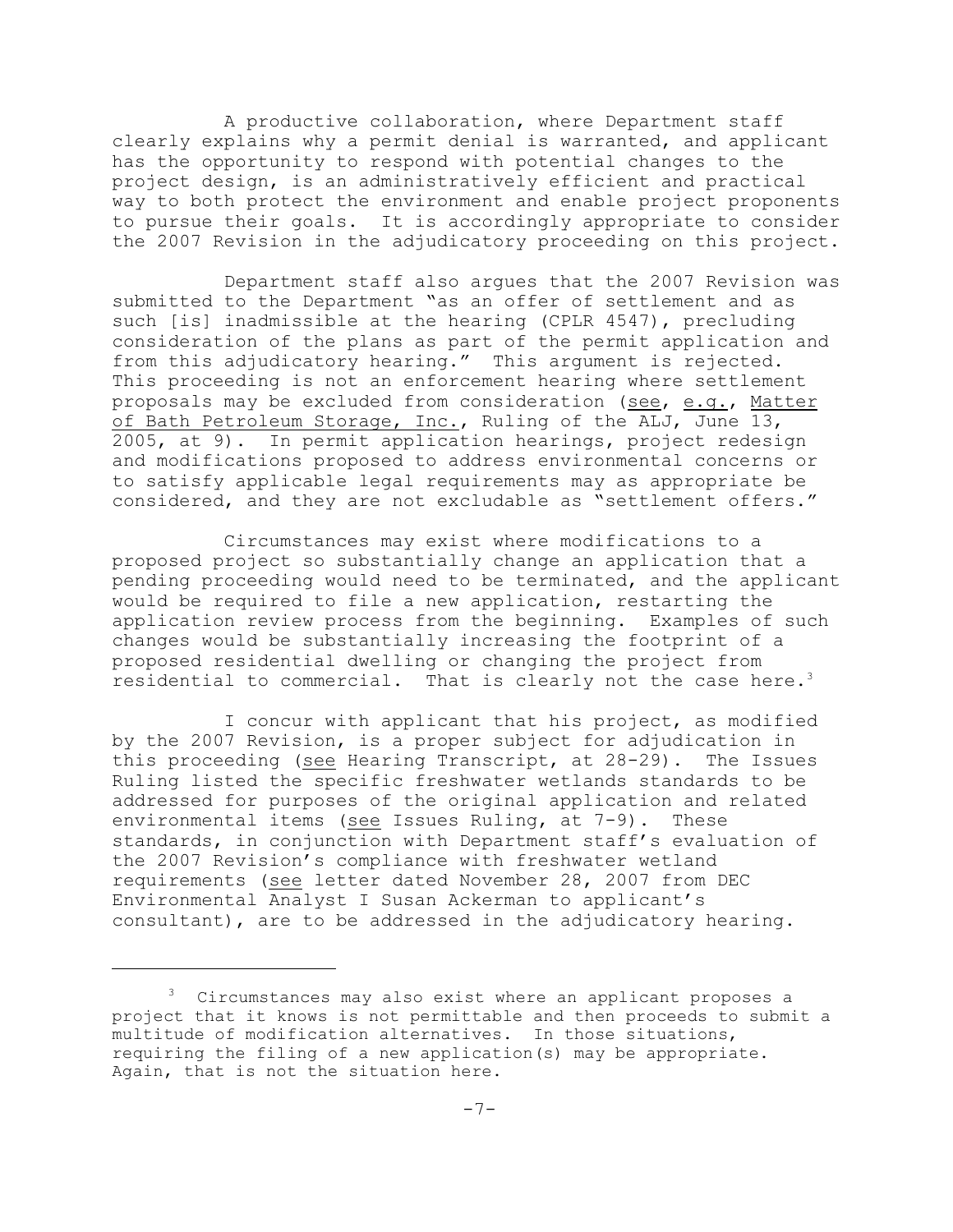A productive collaboration, where Department staff clearly explains why a permit denial is warranted, and applicant has the opportunity to respond with potential changes to the project design, is an administratively efficient and practical way to both protect the environment and enable project proponents to pursue their goals. It is accordingly appropriate to consider the 2007 Revision in the adjudicatory proceeding on this project.

Department staff also argues that the 2007 Revision was submitted to the Department "as an offer of settlement and as such [is] inadmissible at the hearing (CPLR 4547), precluding consideration of the plans as part of the permit application and from this adjudicatory hearing." This argument is rejected. This proceeding is not an enforcement hearing where settlement proposals may be excluded from consideration (see, e.g., Matter of Bath Petroleum Storage, Inc., Ruling of the ALJ, June 13, 2005, at 9). In permit application hearings, project redesign and modifications proposed to address environmental concerns or to satisfy applicable legal requirements may as appropriate be considered, and they are not excludable as "settlement offers."

Circumstances may exist where modifications to a proposed project so substantially change an application that a pending proceeding would need to be terminated, and the applicant would be required to file a new application, restarting the application review process from the beginning. Examples of such changes would be substantially increasing the footprint of a proposed residential dwelling or changing the project from residential to commercial. That is clearly not the case here.<sup>3</sup>

I concur with applicant that his project, as modified by the 2007 Revision, is a proper subject for adjudication in this proceeding (see Hearing Transcript, at 28-29). The Issues Ruling listed the specific freshwater wetlands standards to be addressed for purposes of the original application and related environmental items (see Issues Ruling, at 7-9). These standards, in conjunction with Department staff's evaluation of the 2007 Revision's compliance with freshwater wetland requirements (see letter dated November 28, 2007 from DEC Environmental Analyst I Susan Ackerman to applicant's consultant), are to be addressed in the adjudicatory hearing.

 $3$  Circumstances may also exist where an applicant proposes a project that it knows is not permittable and then proceeds to submit a multitude of modification alternatives. In those situations, requiring the filing of a new application(s) may be appropriate. Again, that is not the situation here.